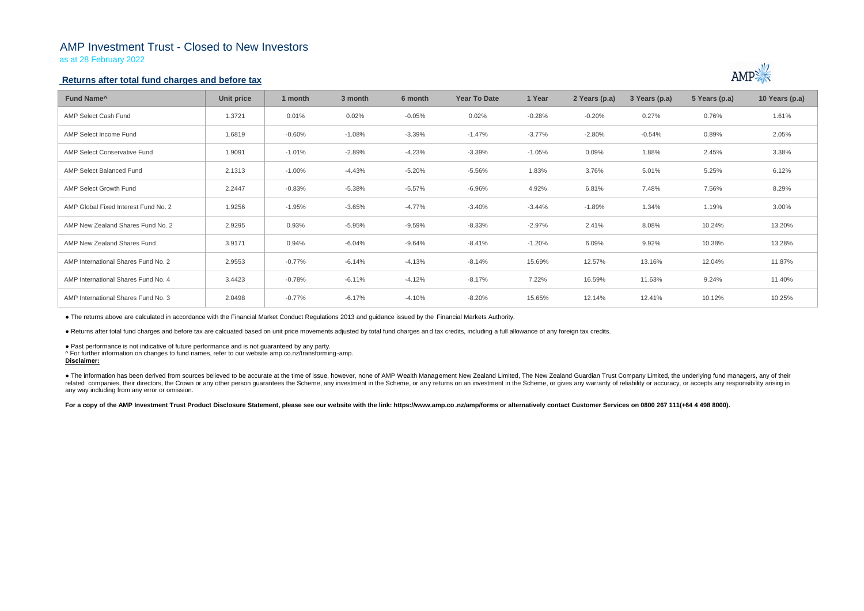# AMP Investment Trust - Closed to New Investors

as at 28 February 2022

### **Returns after total fund charges and before tax**

| Fund Name <sup>^</sup>               | Unit price | 1 month   | 3 month  | 6 month  | <b>Year To Date</b> | 1 Year   | 2 Years (p.a) | 3 Years (p.a) | 5 Years (p.a) | 10 Years (p.a) |
|--------------------------------------|------------|-----------|----------|----------|---------------------|----------|---------------|---------------|---------------|----------------|
| AMP Select Cash Fund                 | 1.3721     | 0.01%     | 0.02%    | $-0.05%$ | 0.02%               | $-0.28%$ | $-0.20%$      | 0.27%         | 0.76%         | 1.61%          |
| AMP Select Income Fund               | 1.6819     | $-0.60%$  | $-1.08%$ | $-3.39%$ | $-1.47%$            | $-3.77%$ | $-2.80%$      | $-0.54%$      | 0.89%         | 2.05%          |
| <b>AMP Select Conservative Fund</b>  | 1.9091     | $-1.01%$  | $-2.89%$ | $-4.23%$ | $-3.39%$            | $-1.05%$ | 0.09%         | 1.88%         | 2.45%         | 3.38%          |
| AMP Select Balanced Fund             | 2.1313     | $-1.00\%$ | $-4.43%$ | $-5.20%$ | $-5.56%$            | 1.83%    | 3.76%         | 5.01%         | 5.25%         | 6.12%          |
| <b>AMP Select Growth Fund</b>        | 2.2447     | $-0.83%$  | $-5.38%$ | $-5.57%$ | $-6.96%$            | 4.92%    | 6.81%         | 7.48%         | 7.56%         | 8.29%          |
| AMP Global Fixed Interest Fund No. 2 | 1.9256     | $-1.95%$  | $-3.65%$ | $-4.77%$ | $-3.40%$            | -3.44%   | $-1.89%$      | 1.34%         | 1.19%         | 3.00%          |
| AMP New Zealand Shares Fund No. 2    | 2.9295     | 0.93%     | $-5.95%$ | $-9.59%$ | $-8.33%$            | $-2.97%$ | 2.41%         | 8.08%         | 10.24%        | 13.20%         |
| AMP New Zealand Shares Fund          | 3.9171     | 0.94%     | $-6.04%$ | $-9.64%$ | $-8.41%$            | $-1.20%$ | 6.09%         | 9.92%         | 10.38%        | 13.28%         |
| AMP International Shares Fund No. 2  | 2.9553     | $-0.77%$  | $-6.14%$ | $-4.13%$ | $-8.14%$            | 15.69%   | 12.57%        | 13.16%        | 12.04%        | 11.87%         |
| AMP International Shares Fund No. 4  | 3.4423     | $-0.78%$  | $-6.11%$ | $-4.12%$ | $-8.17%$            | 7.22%    | 16.59%        | 11.63%        | 9.24%         | 11.40%         |
| AMP International Shares Fund No. 3  | 2.0498     | $-0.77%$  | $-6.17%$ | $-4.10%$ | $-8.20%$            | 15.65%   | 12.14%        | 12.41%        | 10.12%        | 10.25%         |

• The information has been derived from sources believed to be accurate at the time of issue, however, none of AMP Wealth Management New Zealand Limited, The New Zealand Guardian Trust Company Limited, the underlying fund related companies, their directors, the Crown or any other person quarantees the Scheme, any investment in the Scheme, or any returns on an investment in the Scheme, or gives any warranty of reliability or accuracy, or acc any way including from any error or omission.

For a copy of the AMP Investment Trust Product Disclosure Statement, please see our website with the link: https://www.amp.co.nz/amp/forms or alternatively contact Customer Services on 0800 267 111(+64 4 498 8000).



● The returns above are calculated in accordance with the Financial Market Conduct Regulations 2013 and guidance issued by the Financial Markets Authority.

● Returns after total fund charges and before tax are calcuated based on unit price movements adjusted by total fund charges and tax credits, including a full allowance of any foreign tax credits.

● Past performance is not indicative of future performance and is not guaranteed by any party.

^ For further information on changes to fund names, refer to our website amp.co.nz/transforming-amp.

## **Disclaimer:**